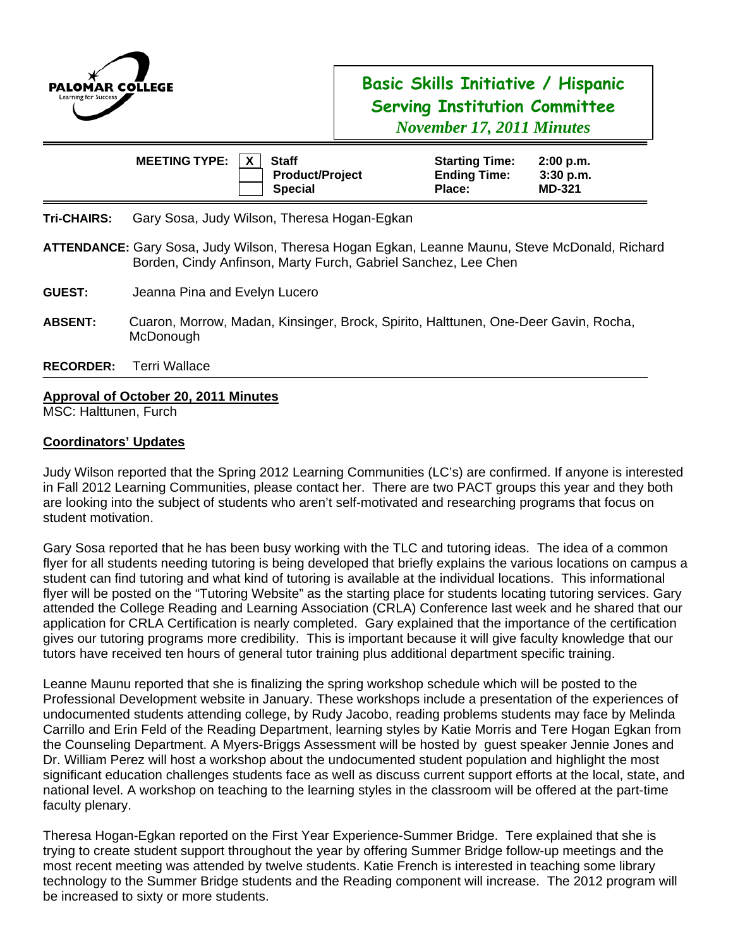

## **Basic Skills Initiative / Hispanic Serving Institution Committee**  *November 17, 2011 Minutes*

|                                             | <b>MEETING TYPE:</b>                                                                                                                                             | <b>Staff</b><br><b>Product/Project</b><br><b>Special</b> | <b>Starting Time:</b><br><b>Ending Time:</b><br>Place: | 2:00 p.m.<br>3:30 p.m.<br><b>MD-321</b> |
|---------------------------------------------|------------------------------------------------------------------------------------------------------------------------------------------------------------------|----------------------------------------------------------|--------------------------------------------------------|-----------------------------------------|
| <b>Tri-CHAIRS:</b>                          | Gary Sosa, Judy Wilson, Theresa Hogan-Egkan                                                                                                                      |                                                          |                                                        |                                         |
|                                             | ATTENDANCE: Gary Sosa, Judy Wilson, Theresa Hogan Egkan, Leanne Maunu, Steve McDonald, Richard<br>Borden, Cindy Anfinson, Marty Furch, Gabriel Sanchez, Lee Chen |                                                          |                                                        |                                         |
| <b>GUEST:</b>                               | Jeanna Pina and Evelyn Lucero                                                                                                                                    |                                                          |                                                        |                                         |
| <b>ABSENT:</b>                              | Cuaron, Morrow, Madan, Kinsinger, Brock, Spirito, Halttunen, One-Deer Gavin, Rocha,<br>McDonough                                                                 |                                                          |                                                        |                                         |
| <b>RECORDER:</b>                            | Terri Wallace                                                                                                                                                    |                                                          |                                                        |                                         |
| <b>Approval of October 20, 2011 Minutes</b> |                                                                                                                                                                  |                                                          |                                                        |                                         |

MSC: Halttunen, Furch

## **Coordinators' Updates**

Judy Wilson reported that the Spring 2012 Learning Communities (LC's) are confirmed. If anyone is interested in Fall 2012 Learning Communities, please contact her. There are two PACT groups this year and they both are looking into the subject of students who aren't self-motivated and researching programs that focus on student motivation.

Gary Sosa reported that he has been busy working with the TLC and tutoring ideas. The idea of a common flyer for all students needing tutoring is being developed that briefly explains the various locations on campus a student can find tutoring and what kind of tutoring is available at the individual locations. This informational flyer will be posted on the "Tutoring Website" as the starting place for students locating tutoring services. Gary attended the College Reading and Learning Association (CRLA) Conference last week and he shared that our application for CRLA Certification is nearly completed. Gary explained that the importance of the certification gives our tutoring programs more credibility. This is important because it will give faculty knowledge that our tutors have received ten hours of general tutor training plus additional department specific training.

Leanne Maunu reported that she is finalizing the spring workshop schedule which will be posted to the Professional Development website in January. These workshops include a presentation of the experiences of undocumented students attending college, by Rudy Jacobo, reading problems students may face by Melinda Carrillo and Erin Feld of the Reading Department, learning styles by Katie Morris and Tere Hogan Egkan from the Counseling Department. A Myers-Briggs Assessment will be hosted by guest speaker Jennie Jones and Dr. William Perez will host a workshop about the undocumented student population and highlight the most significant education challenges students face as well as discuss current support efforts at the local, state, and national level. A workshop on teaching to the learning styles in the classroom will be offered at the part-time faculty plenary.

Theresa Hogan-Egkan reported on the First Year Experience-Summer Bridge. Tere explained that she is trying to create student support throughout the year by offering Summer Bridge follow-up meetings and the most recent meeting was attended by twelve students. Katie French is interested in teaching some library technology to the Summer Bridge students and the Reading component will increase. The 2012 program will be increased to sixty or more students.